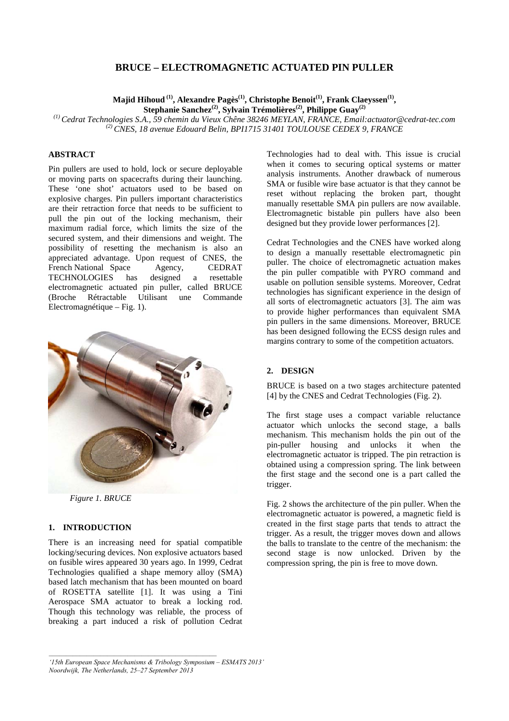# **BRUCE – ELECTROMAGNETIC ACTUATED PIN PULLER**

**Majid Hihoud (1), Alexandre Pagès(1), Christophe Benoit(1), Frank Claeyssen(1) ,** 

**Stephanie Sanchez(2), Sylvain Trémolières(2), Philippe Guay(2)**

*(1) Cedrat Technologies S.A., 59 chemin du Vieux Chêne 38246 MEYLAN, FRANCE, Email:actuator@cedrat-tec.com (2) CNES, 18 avenue Edouard Belin, BPI1715 31401 TOULOUSE CEDEX 9, FRANCE* 

# **ABSTRACT**

Pin pullers are used to hold, lock or secure deployable or moving parts on spacecrafts during their launching. These 'one shot' actuators used to be based on explosive charges. Pin pullers important characteristics are their retraction force that needs to be sufficient to pull the pin out of the locking mechanism, their maximum radial force, which limits the size of the secured system, and their dimensions and weight. The possibility of resetting the mechanism is also an appreciated advantage. Upon request of CNES, the French National Space Agency, CEDRAT TECHNOLOGIES has designed a resettable electromagnetic actuated pin puller, called BRUCE (Broche Rétractable Utilisant une Commande Electromagnétique – Fig. 1).



*Figure 1. BRUCE* 

### **1. INTRODUCTION**

There is an increasing need for spatial compatible locking/securing devices. Non explosive actuators based on fusible wires appeared 30 years ago. In 1999, Cedrat Technologies qualified a shape memory alloy (SMA) based latch mechanism that has been mounted on board of ROSETTA satellite [1]. It was using a Tini Aerospace SMA actuator to break a locking rod. Though this technology was reliable, the process of breaking a part induced a risk of pollution Cedrat Technologies had to deal with. This issue is crucial when it comes to securing optical systems or matter analysis instruments. Another drawback of numerous SMA or fusible wire base actuator is that they cannot be reset without replacing the broken part, thought manually resettable SMA pin pullers are now available. Electromagnetic bistable pin pullers have also been designed but they provide lower performances [2].

Cedrat Technologies and the CNES have worked along to design a manually resettable electromagnetic pin puller. The choice of electromagnetic actuation makes the pin puller compatible with PYRO command and usable on pollution sensible systems. Moreover, Cedrat technologies has significant experience in the design of all sorts of electromagnetic actuators [3]. The aim was to provide higher performances than equivalent SMA pin pullers in the same dimensions. Moreover, BRUCE has been designed following the ECSS design rules and margins contrary to some of the competition actuators.

### **2. DESIGN**

BRUCE is based on a two stages architecture patented [4] by the CNES and Cedrat Technologies (Fig. 2).

The first stage uses a compact variable reluctance actuator which unlocks the second stage, a balls mechanism. This mechanism holds the pin out of the pin-puller housing and unlocks it when the electromagnetic actuator is tripped. The pin retraction is obtained using a compression spring. The link between the first stage and the second one is a part called the trigger.

Fig. 2 shows the architecture of the pin puller. When the electromagnetic actuator is powered, a magnetic field is created in the first stage parts that tends to attract the trigger. As a result, the trigger moves down and allows the balls to translate to the centre of the mechanism: the second stage is now unlocked. Driven by the compression spring, the pin is free to move down.

*<sup>&#</sup>x27;15th European Space Mechanisms & Tribology Symposium – ESMATS 2013' Noordwijk, The Netherlands, 25–27 September 2013*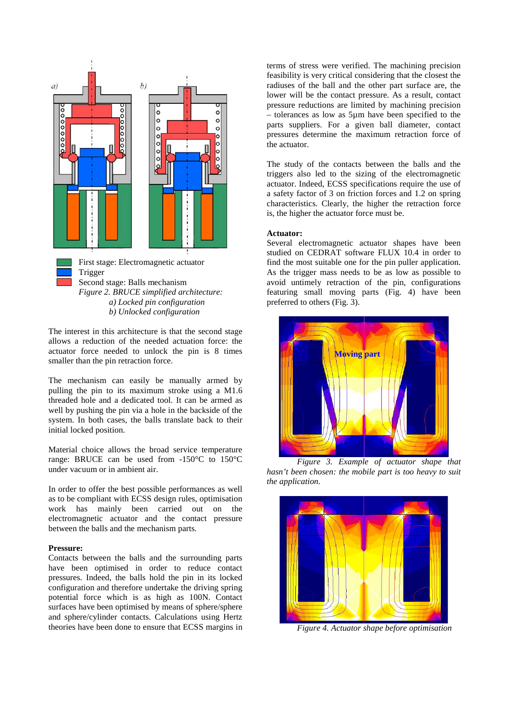

Trigger Second stage: Balls mechanism *Figure 2. BRUCE simplified architecture: a) Locked pin configuration b) Unlocked configuration* 

The interest in this architecture is that the second stage allows a reduction of the needed actuation force: the actuator force needed to unlock the pin is 8 times smaller than the pin retraction force.

The mechanism can easily be manually armed by pulling the pin to its maximum stroke using a M1.6 threaded hole and a dedicated tool. It can be armed as well by pushing the pin via a hole in the backside of the system. In both cases, the balls translate back to their initial locked position.

Material choice allows the broad service temperature range: BRUCE can be used from -150°C to 150°C under vacuum or in ambient air.

In order to offer the best possible performances as well as to be compliant with ECSS design rules, optimisation work has mainly been carried out on the electromagnetic actuator and the contact pressure between the balls and the mechanism parts.

# **Pressure:**

Contacts between the balls and the surrounding parts have been optimised in order to reduce contact pressures. Indeed, the balls hold the pin in its locked configuration and therefore undertake the driving spring potential force which is as high as 100N. Contact surfaces have been optimised by means of sphere/sphere and sphere/cylinder contacts. Calculations using Hertz theories have been done to ensure that ECSS margins in

terms of stress were verified. The machining precision feasibility is very critical considering that the closest the radiuses of the ball and the other part surface are, the lower will be the contact pressure. As a result, contact pressure reductions are limited by machining precision – tolerances as low as 5µm have been specified to the parts suppliers. For a given ball diameter, contact pressures determine the maximum retraction force of the actuator.

The study of the contacts between the balls and the triggers also led to the sizing of the electromagnetic actuator. Indeed, ECSS specifications require the use of a safety factor of 3 on friction forces and 1.2 on spring characteristics. Clearly, the higher the retraction force is, the higher the actuator force must be.

#### **Actuator:**

Several electromagnetic actuator shapes have been studied on CEDRAT software FLUX 10.4 in order to find the most suitable one for the pin puller application. As the trigger mass needs to be as low as possible to avoid untimely retraction of the pin, configurations featuring small moving parts (Fig. 4) have been preferred to others (Fig. 3).



*Figure 3. Example of actuator shape that hasn't been chosen: the mobile part is too heavy to suit the application.* 



*Figure 4. Actuator shape before optimisation*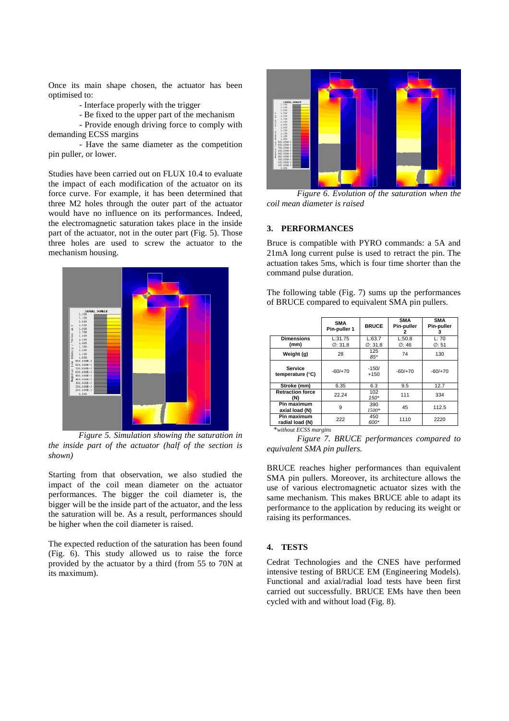Once its main shape chosen, the actuator has been optimised to:

- Interface properly with the trigger

- Be fixed to the upper part of the mechanism

 - Provide enough driving force to comply with demanding ECSS margins

 - Have the same diameter as the competition pin puller, or lower.

Studies have been carried out on FLUX 10.4 to evaluate the impact of each modification of the actuator on its force curve. For example, it has been determined that three M2 holes through the outer part of the actuator would have no influence on its performances. Indeed, the electromagnetic saturation takes place in the inside part of the actuator, not in the outer part (Fig. 5). Those three holes are used to screw the actuator to the mechanism housing.



*Figure 5. Simulation showing the saturation in the inside part of the actuator (half of the section is shown)* 

Starting from that observation, we also studied the impact of the coil mean diameter on the actuator performances. The bigger the coil diameter is, the bigger will be the inside part of the actuator, and the less the saturation will be. As a result, performances should be higher when the coil diameter is raised.

The expected reduction of the saturation has been found (Fig. 6). This study allowed us to raise the force provided by the actuator by a third (from 55 to 70N at its maximum).



*Figure 6. Evolution of the saturation when the coil mean diameter is raised* 

### **3. PERFORMANCES**

Bruce is compatible with PYRO commands: a 5A and 21mA long current pulse is used to retract the pin. The actuation takes 5ms, which is four time shorter than the command pulse duration.

The following table (Fig. 7) sums up the performances of BRUCE compared to equivalent SMA pin pullers.

|                                | <b>SMA</b><br>Pin-puller 1      | <b>BRUCE</b>                   | <b>SMA</b><br><b>Pin-puller</b><br>2 | <b>SMA</b><br>Pin-puller<br>з |
|--------------------------------|---------------------------------|--------------------------------|--------------------------------------|-------------------------------|
| <b>Dimensions</b><br>(mm)      | L:31.75<br>$\varnothing$ : 31.8 | L:63.7<br>$\varnothing$ : 31.8 | L:50.8<br>$\varnothing$ : 46         | L:70<br>$\varnothing$ : 51    |
| Weight (g)                     | 28                              | 125<br>$85*$                   | 74                                   | 130                           |
| Service<br>temperature (°C)    | $-60/+70$                       | $-150/$<br>$+150$              | $-60/+70$                            | $-60/+70$                     |
| Stroke (mm)                    | 6.35                            | 6.3                            | 9.5                                  | 12.7                          |
| <b>Retraction force</b><br>(N) | 22.24                           | 102<br>$150*$                  | 111                                  | 334                           |
| Pin maximum<br>axial load (N)  | 9                               | 390<br>1500*                   | 45                                   | 112.5                         |
| Pin maximum<br>radial load (N) | 222                             | 450<br>600*                    | 1110                                 | 2220                          |

\**without ECSS margins*

*Figure 7. BRUCE performances compared to equivalent SMA pin pullers.* 

BRUCE reaches higher performances than equivalent SMA pin pullers. Moreover, its architecture allows the use of various electromagnetic actuator sizes with the same mechanism. This makes BRUCE able to adapt its performance to the application by reducing its weight or raising its performances.

#### **4. TESTS**

Cedrat Technologies and the CNES have performed intensive testing of BRUCE EM (Engineering Models). Functional and axial/radial load tests have been first carried out successfully. BRUCE EMs have then been cycled with and without load (Fig. 8).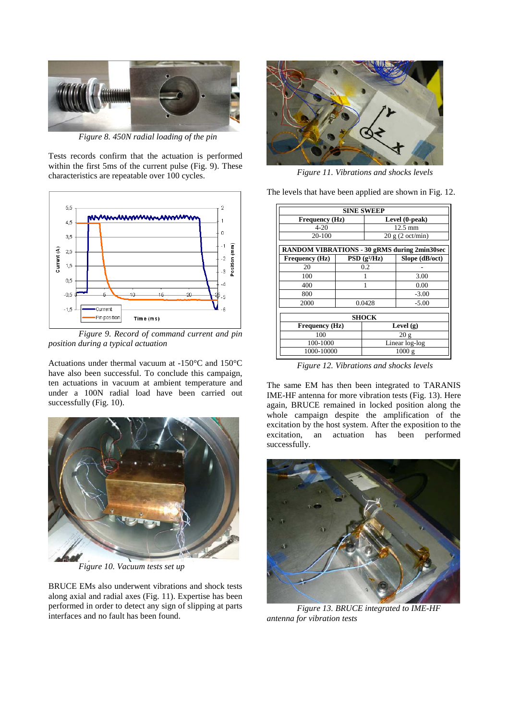

*Figure 8. 450N radial loading of the pin* 

Tests records confirm that the actuation is performed within the first 5ms of the current pulse (Fig. 9). These characteristics are repeatable over 100 cycles.



*Figure 9. Record of command current and pin position during a typical actuation* 

Actuations under thermal vacuum at -150°C and 150°C have also been successful. To conclude this campaign, ten actuations in vacuum at ambient temperature and under a 100N radial load have been carried out successfully (Fig. 10).



*Figure 10. Vacuum tests set up*

BRUCE EMs also underwent vibrations and shock tests along axial and radial axes (Fig. 11). Expertise has been performed in order to detect any sign of slipping at parts interfaces and no fault has been found.



*Figure 11. Vibrations and shocks levels*

The levels that have been applied are shown in Fig. 12.

| <b>SINE SWEEP</b>                            |        |                   |                |  |  |  |
|----------------------------------------------|--------|-------------------|----------------|--|--|--|
| Frequency (Hz)                               |        | Level (0-peak)    |                |  |  |  |
| $4 - 20$                                     |        | $12.5 \text{ mm}$ |                |  |  |  |
| 20-100                                       |        | 20 g (2 oct/min)  |                |  |  |  |
| RANDOM VIBRATIONS - 30 gRMS during 2min30sec |        |                   |                |  |  |  |
| Frequency (Hz)                               |        | $PSD(g^2/Hz)$     | Slope (dB/oct) |  |  |  |
| 20                                           | 0.2    |                   |                |  |  |  |
| 100                                          |        |                   | 3.00           |  |  |  |
| 400                                          |        |                   | 0.00           |  |  |  |
| 800                                          |        |                   | $-3.00$        |  |  |  |
| 2000                                         | 0.0428 |                   | $-5.00$        |  |  |  |
| SHOCK                                        |        |                   |                |  |  |  |
| Frequency (Hz)                               |        | Level (g)         |                |  |  |  |
| 100                                          |        | 20 g              |                |  |  |  |
| 100-1000                                     |        | Linear log-log    |                |  |  |  |
| 1000-10000                                   |        | 1000g             |                |  |  |  |

*Figure 12. Vibrations and shocks levels*

The same EM has then been integrated to TARANIS IME-HF antenna for more vibration tests (Fig. 13). Here again, BRUCE remained in locked position along the whole campaign despite the amplification of the excitation by the host system. After the exposition to the excitation, an actuation has been performed successfully.



*Figure 13. BRUCE integrated to IME-HF antenna for vibration tests*